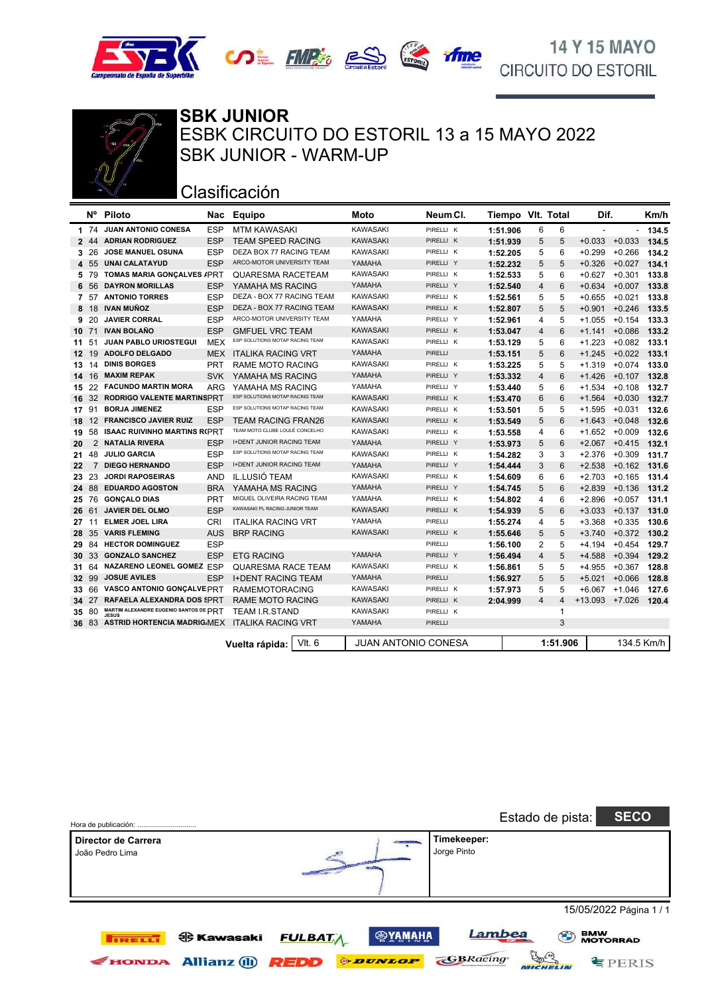





**SBK JUNIOR** ESBK CIRCUITO DO ESTORIL 13 a 15 MAYO 2022 SBK JUNIOR - WARM-UP

## Clasificación

|                  | <b>N°</b><br><b>Piloto</b><br>Nac |                                                        | Equipo     | Moto                             | Neum CI.            |                | Tiempo VIt. Total<br>Dif. |   |             | Km/h           |          |            |
|------------------|-----------------------------------|--------------------------------------------------------|------------|----------------------------------|---------------------|----------------|---------------------------|---|-------------|----------------|----------|------------|
|                  | 1 74                              | JUAN ANTONIO CONESA                                    | ESP        | <b>MTM KAWASAKI</b>              | <b>KAWASAKI</b>     | PIRELLI K      | 1:51.906                  | 6 | 6           | $\blacksquare$ |          | 134.5      |
|                  | 2 44                              | <b>ADRIAN RODRIGUEZ</b>                                | <b>ESP</b> | <b>TEAM SPEED RACING</b>         | <b>KAWASAKI</b>     | PIRELLI K      | 1:51.939                  | 5 | 5           | $+0.033$       | $+0.033$ | 134.5      |
| 3                | 26                                | JOSE MANUEL OSUNA                                      | <b>ESP</b> | DEZA BOX 77 RACING TEAM          | <b>KAWASAKI</b>     | PIRELLI K      | 1:52.205                  | 5 | 6           | $+0.299$       | $+0.266$ | 134.2      |
|                  | 4 55                              | <b>UNAI CALATAYUD</b>                                  | <b>ESP</b> | ARCO-MOTOR UNIVERSITY TEAM       | YAMAHA              | PIRELLI Y      | 1:52.232                  | 5 | 5           | $+0.326$       | $+0.027$ | 134.1      |
|                  | 5 79                              | <b>TOMAS MARIA GONÇALVES / PRT</b>                     |            | QUARESMA RACETEAM                | <b>KAWASAKI</b>     | PIRELLI K      | 1:52.533                  | 5 | 6           | $+0.627$       | $+0.301$ | 133.8      |
| 6                | 56                                | <b>DAYRON MORILLAS</b>                                 | <b>ESP</b> | YAMAHA MS RACING                 | YAMAHA              | PIRELLI Y      | 1:52.540                  | 4 | 6           | $+0.634$       | $+0.007$ | 133.8      |
| 7                | 57                                | <b>ANTONIO TORRES</b>                                  | <b>ESP</b> | DEZA - BOX 77 RACING TEAM        | <b>KAWASAKI</b>     | PIRELLI K      | 1:52.561                  | 5 | 5           | $+0.655$       | $+0.021$ | 133.8      |
| 8                | 18                                | <b>IVAN MUÑOZ</b>                                      | <b>ESP</b> | DEZA - BOX 77 RACING TEAM        | <b>KAWASAKI</b>     | PIRELLI K      | 1:52.807                  | 5 | 5           | $+0.901$       | $+0.246$ | 133.5      |
| 9                | 20                                | <b>JAVIER CORRAL</b>                                   | <b>ESP</b> | ARCO-MOTOR UNIVERSITY TEAM       | YAMAHA              | PIRELLI Y      | 1:52.961                  | 4 | 5           | $+1.055$       | $+0.154$ | 133.3      |
| 10 <sup>1</sup>  | 71                                | <b>IVAN BOLAÑO</b>                                     | <b>ESP</b> | <b>GMFUEL VRC TEAM</b>           | <b>KAWASAKI</b>     | PIRELLI K      | 1:53.047                  | 4 | 6           | $+1.141$       | $+0.086$ | 133.2      |
| 11               | 51                                | <b>JUAN PABLO URIOSTEGUI</b>                           | <b>MEX</b> | ESP SOLUTIONS MOTAP RACING TEAM  | <b>KAWASAKI</b>     | PIRELLI K      | 1:53.129                  | 5 | 6           | $+1.223$       | $+0.082$ | 133.1      |
| 12 <sup>12</sup> | 19                                | <b>ADOLFO DELGADO</b>                                  | <b>MEX</b> | <b>ITALIKA RACING VRT</b>        | YAMAHA              | <b>PIRELLI</b> | 1:53.151                  | 5 | 6           | $+1.245$       | $+0.022$ | 133.1      |
| 13               | 14                                | <b>DINIS BORGES</b>                                    | <b>PRT</b> | RAME MOTO RACING                 | <b>KAWASAKI</b>     | PIRELLI K      | 1:53.225                  | 5 | 5           | $+1.319$       | $+0.074$ | 133.0      |
|                  | 14 16                             | <b>MAXIM REPAK</b>                                     | <b>SVK</b> | YAMAHA MS RACING                 | YAMAHA              | PIRELLI Y      | 1:53.332                  | 4 | 6           | $+1.426$       | $+0.107$ | 132.8      |
|                  | 15 22                             | <b>FACUNDO MARTIN MORA</b>                             | ARG        | YAMAHA MS RACING                 | YAMAHA              | PIRELLI Y      | 1:53.440                  | 5 | 6           | $+1.534$       | $+0.108$ | 132.7      |
| 16               | 32                                | RODRIGO VALENTE MARTINSPRT                             |            | ESP SOLUTIONS MOTAP RACING TEAM  | <b>KAWASAKI</b>     | PIRELLI K      | 1:53.470                  | 6 | 6           | $+1.564$       | $+0.030$ | 132.7      |
|                  | 17 91                             | <b>BORJA JIMENEZ</b>                                   | <b>ESP</b> | ESP SOLUTIONS MOTAP RACING TEAM  | KAWASAKI            | PIRELLI K      | 1:53.501                  | 5 | 5           | $+1.595$       | $+0.031$ | 132.6      |
| 18               | $12 \overline{ }$                 | <b>FRANCISCO JAVIER RUIZ</b>                           | ESP        | <b>TEAM RACING FRAN26</b>        | <b>KAWASAKI</b>     | PIRELLI K      | 1:53.549                  | 5 | 6           | $+1.643$       | $+0.048$ | 132.6      |
| 19               | 58                                | <b>ISAAC RUIVINHO MARTINS R(PRT</b>                    |            | TEAM MOTO CLUBE LOULÉ CONCELHO   | <b>KAWASAKI</b>     | PIRELLI K      | 1:53.558                  | 4 | 6           | $+1.652$       | $+0.009$ | 132.6      |
| 20               | $\overline{2}$                    | <b>NATALIA RIVERA</b>                                  | <b>ESP</b> | <b>I+DENT JUNIOR RACING TEAM</b> | YAMAHA              | PIRELLI Y      | 1:53.973                  | 5 | 6           | $+2.067$       | $+0.415$ | 132.1      |
| 21.              | 48                                | <b>JULIO GARCIA</b>                                    | <b>ESP</b> | ESP SOLUTIONS MOTAP RACING TEAM  | <b>KAWASAKI</b>     | PIRELLI K      | 1:54.282                  | 3 | 3           | $+2.376$       | $+0.309$ | 131.7      |
| 22               | 7                                 | <b>DIEGO HERNANDO</b>                                  | <b>ESP</b> | <b>I+DENT JUNIOR RACING TEAM</b> | YAMAHA              | PIRELLI Y      | 1:54.444                  | 3 | 6           | $+2.538$       | $+0.162$ | 131.6      |
| 23               | 23                                | <b>JORDI RAPOSEIRAS</b>                                | <b>AND</b> | IL.LUSIÓ TEAM                    | KAWASAKI            | PIRELLI K      | 1:54.609                  | 6 | 6           | $+2.703$       | $+0.165$ | 131.4      |
|                  | 24 88                             | <b>EDUARDO AGOSTON</b>                                 | <b>BRA</b> | YAMAHA MS RACING                 | YAMAHA              | PIRELLI Y      | 1:54.745                  | 5 | 6           | $+2.839$       | $+0.136$ | 131.2      |
|                  | 25 76                             | <b>GONCALO DIAS</b>                                    | <b>PRT</b> | MIGUEL OLIVEIRA RACING TEAM      | YAMAHA              | PIRELLI K      | 1:54.802                  | 4 | 6           | $+2.896$       | $+0.057$ | 131.1      |
|                  | 26 61                             | JAVIER DEL OLMO                                        | <b>ESP</b> | KAWASAKI PL RACING JUNIOR TEAM   | <b>KAWASAKI</b>     | PIRELLI K      | 1:54.939                  | 5 | 6           | $+3.033$       | $+0.137$ | 131.0      |
| 27               | 11                                | <b>ELMER JOEL LIRA</b>                                 | <b>CRI</b> | <b>ITALIKA RACING VRT</b>        | YAMAHA              | PIRELLI        | 1:55.274                  | 4 | 5           | $+3.368$       | $+0.335$ | 130.6      |
| 28               | 35                                | <b>VARIS FLEMING</b>                                   | <b>AUS</b> | <b>BRP RACING</b>                | <b>KAWASAKI</b>     | PIRELLI K      | 1:55.646                  | 5 | 5           | $+3.740$       | $+0.372$ | 130.2      |
| 29               | 84                                | <b>HECTOR DOMINGUEZ</b>                                | <b>ESP</b> |                                  |                     | PIRELLI        | 1:56.100                  | 2 | 5           | $+4.194$       | $+0.454$ | 129.7      |
| 30               | 33                                | <b>GONZALO SANCHEZ</b>                                 | <b>ESP</b> | <b>ETG RACING</b>                | YAMAHA              | PIRELLI Y      | 1:56.494                  | 4 | 5           | $+4.588$       | $+0.394$ | 129.2      |
| 31               | 64                                | NAZARENO LEONEL GOMEZ ESP                              |            | QUARESMA RACE TEAM               | <b>KAWASAKI</b>     | PIRELLI K      | 1:56.861                  | 5 | 5           | $+4.955$       | $+0.367$ | 128.8      |
| 32               | 99                                | <b>JOSUE AVILES</b>                                    | <b>ESP</b> | <b>I+DENT RACING TEAM</b>        | YAMAHA              | <b>PIRELLI</b> | 1:56.927                  | 5 | 5           | $+5.021$       | $+0.066$ | 128.8      |
| 33               | 66                                | VASCO ANTONIO GONÇALVE PRT                             |            | <b>RAMEMOTORACING</b>            | <b>KAWASAKI</b>     | PIRELLI K      | 1:57.973                  | 5 | 5           | $+6.067$       | $+1.046$ | 127.6      |
|                  | 34 27                             | <b>RAFAELA ALEXANDRA DOS SPRT</b>                      |            | <b>RAME MOTO RACING</b>          | <b>KAWASAKI</b>     | PIRELLI K      | 2:04.999                  | 4 | 4           | $+13.093$      | $+7.026$ | 120.4      |
| 35               | 80                                | MARTIM ALEXANDRE EUGENIO SANTOS DE PRT<br><b>JESUS</b> |            | TEAM I.R.STAND                   | KAWASAKI            | PIRELLI K      |                           |   | $\mathbf 1$ |                |          |            |
|                  |                                   | 36 83 ASTRID HORTENCIA MADRIG MEX                      |            | <b>ITALIKA RACING VRT</b>        | YAMAHA              | <b>PIRELLI</b> |                           |   | 3           |                |          |            |
|                  |                                   |                                                        |            | $V$ lt. 6<br>Vuelta rápida:      | JUAN ANTONIO CONESA |                |                           |   | 1:51.906    |                |          | 134.5 Km/h |

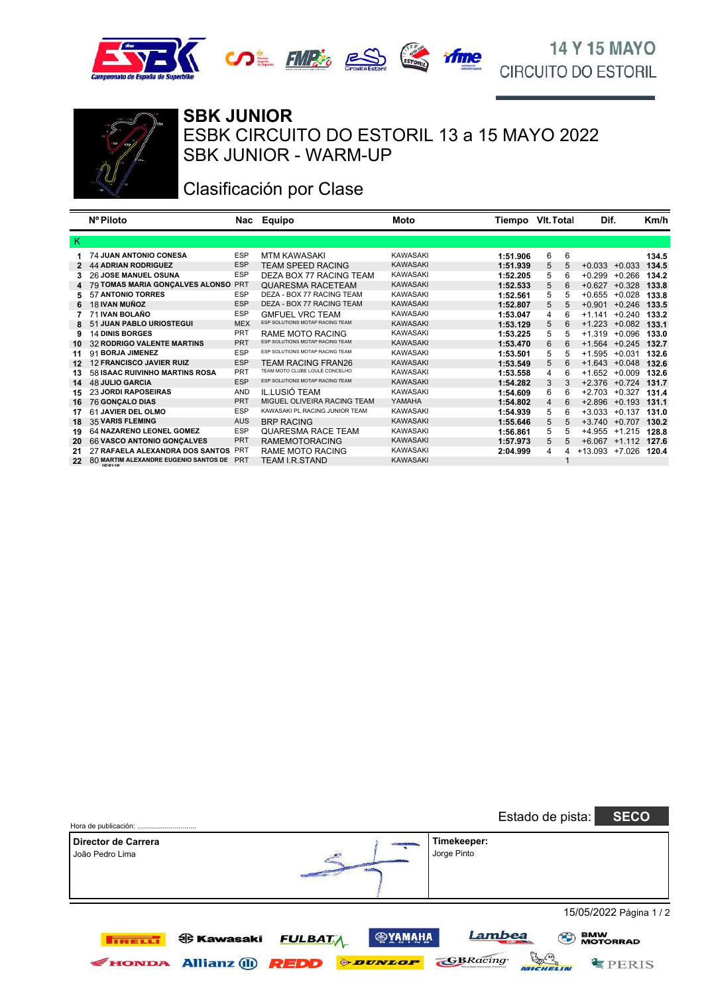





#### SBK JUNIOR - WARM-UP ESBK CIRCUITO DO ESTORIL 13 a 15 MAYO 2022 **SBK JUNIOR**

# Clasificación por Clase

|    | Nº Piloto                             |            | Nac Equipo                      | Moto            | Tiempo VIt. Total |        | Dif.               |          | Km/h  |
|----|---------------------------------------|------------|---------------------------------|-----------------|-------------------|--------|--------------------|----------|-------|
| K. |                                       |            |                                 |                 |                   |        |                    |          |       |
|    | <b>74 JUAN ANTONIO CONESA</b>         | <b>ESP</b> | <b>MTM KAWASAKI</b>             | <b>KAWASAKI</b> | 1:51.906          | 6<br>6 |                    |          | 134.5 |
|    | <b>44 ADRIAN RODRIGUEZ</b>            | <b>ESP</b> | <b>TEAM SPEED RACING</b>        | <b>KAWASAKI</b> | 1:51.939          | 5      | $+0.033$           | $+0.033$ | 134.5 |
| 3  | <b>26 JOSE MANUEL OSUNA</b>           | <b>ESP</b> | DEZA BOX 77 RACING TEAM         | <b>KAWASAKI</b> | 1:52.205          | 5<br>6 | $+0.299$           | $+0.266$ | 134.2 |
| 4  | 79 TOMAS MARIA GONÇALVES ALONSO       | <b>PRT</b> | <b>QUARESMA RACETEAM</b>        | <b>KAWASAKI</b> | 1:52.533          | 5      | $+0.627$           | $+0.328$ | 133.8 |
| 5  | 57 ANTONIO TORRES                     | <b>ESP</b> | DEZA - BOX 77 RACING TEAM       | <b>KAWASAKI</b> | 1:52.561          | 5<br>5 | $+0.655$           | $+0.028$ | 133.8 |
| 6  | 18 IVAN MUÑOZ                         | <b>ESP</b> | DEZA - BOX 77 RACING TEAM       | <b>KAWASAKI</b> | 1:52.807          | 5<br>5 | $+0.901$           | $+0.246$ | 133.5 |
|    | 71 IVAN BOLAÑO                        | <b>ESP</b> | <b>GMFUEL VRC TEAM</b>          | <b>KAWASAKI</b> | 1:53.047          | 4<br>6 | $+1.141$           | $+0.240$ | 133.2 |
| 8  | 51 JUAN PABLO URIOSTEGUI              | <b>MEX</b> | ESP SOLUTIONS MOTAP RACING TEAM | <b>KAWASAKI</b> | 1:53.129          | 5      | $+1.223$           | $+0.082$ | 133.1 |
| 9  | <b>14 DINIS BORGES</b>                | PRT        | RAME MOTO RACING                | <b>KAWASAKI</b> | 1:53.225          | 5      | $+1.319$           | +0.096   | 133.0 |
| 10 | <b>32 RODRIGO VALENTE MARTINS</b>     | <b>PRT</b> | ESP SOLUTIONS MOTAP RACING TEAM | <b>KAWASAKI</b> | 1:53.470          | 6<br>6 | $+1.564$           | $+0.245$ | 132.7 |
| 11 | 91 BORJA JIMENEZ                      | <b>ESP</b> | ESP SOLUTIONS MOTAP RACING TEAM | <b>KAWASAKI</b> | 1:53.501          | 5      | +1.595             | $+0.031$ | 132.6 |
| 12 | <b>12 FRANCISCO JAVIER RUIZ</b>       | <b>ESP</b> | <b>TEAM RACING FRAN26</b>       | <b>KAWASAKI</b> | 1:53.549          | 5<br>6 | $+1.643$           | $+0.048$ | 132.6 |
| 13 | 58 ISAAC RUIVINHO MARTINS ROSA        | <b>PRT</b> | TEAM MOTO CLUBE LOULÉ CONCELHO  | <b>KAWASAKI</b> | 1:53.558          | 4<br>6 | $+1.652 +0.009$    |          | 132.6 |
| 14 | <b>48 JULIO GARCIA</b>                | <b>ESP</b> | ESP SOLUTIONS MOTAP RACING TEAM | <b>KAWASAKI</b> | 1:54.282          | 3<br>3 | $+2.376$ $+0.724$  |          | 131.7 |
| 15 | <b>23 JORDI RAPOSEIRAS</b>            | <b>AND</b> | IL.LUSIÓ TEAM                   | <b>KAWASAKI</b> | 1:54.609          | 6      | $+2.703 +0.327$    |          | 131.4 |
| 16 | <b>76 GONCALO DIAS</b>                | <b>PRT</b> | MIGUEL OLIVEIRA RACING TEAM     | YAMAHA          | 1:54.802          | 4<br>6 | $+2.896 +0.193$    |          | 131.1 |
| 17 | 61 JAVIER DEL OLMO                    | <b>ESP</b> | KAWASAKI PL RACING JUNIOR TEAM  | <b>KAWASAKI</b> | 1:54.939          | 5      | $+3.033$           | $+0.137$ | 131.0 |
| 18 | <b>35 VARIS FLEMING</b>               | <b>AUS</b> | <b>BRP RACING</b>               | <b>KAWASAKI</b> | 1:55.646          | 5      | $+3.740 +0.707$    |          | 130.2 |
| 19 | 64 NAZARENO LEONEL GOMEZ              | <b>ESP</b> | QUARESMA RACE TEAM              | <b>KAWASAKI</b> | 1:56.861          | 5      | +4.955             | $+1.215$ | 128.8 |
| 20 | 66 VASCO ANTONIO GONÇALVES            | <b>PRT</b> | <b>RAMEMOTORACING</b>           | <b>KAWASAKI</b> | 1:57.973          | 5<br>5 | $+6.067$ $+1.112$  |          | 127.6 |
| 21 | 27 RAFAELA ALEXANDRA DOS SANTOS       | PRT        | RAME MOTO RACING                | <b>KAWASAKI</b> | 2:04.999          | 4      | $+13.093$ $+7.026$ |          | 120.4 |
| 22 | 80 MARTIM ALEXANDRE EUGENIO SANTOS DE | <b>PRT</b> | TEAM I.R.STAND                  | <b>KAWASAKI</b> |                   |        |                    |          |       |

|                                        |                                                                                                                       | <b>SECO</b><br>Estado de pista:                                                   |
|----------------------------------------|-----------------------------------------------------------------------------------------------------------------------|-----------------------------------------------------------------------------------|
| Director de Carrera<br>João Pedro Lima |                                                                                                                       | Timekeeper:<br>Jorge Pinto                                                        |
|                                        |                                                                                                                       | 15/05/2022 Página 1 / 2                                                           |
| <b>TIRELLI</b><br>HONDA                | <b>@YAMAHA</b><br><b>ed Kawasaki</b><br><b>FULBATA</b><br><b><i>ODUNLOP</i></b><br><b>Allianz</b> (ii)<br><b>REDD</b> | Lambea<br><b>BMW<br/>MOTORRAD</b><br>$\mathbb{Z}_{m}$<br><b>GBRacing</b><br>FERIS |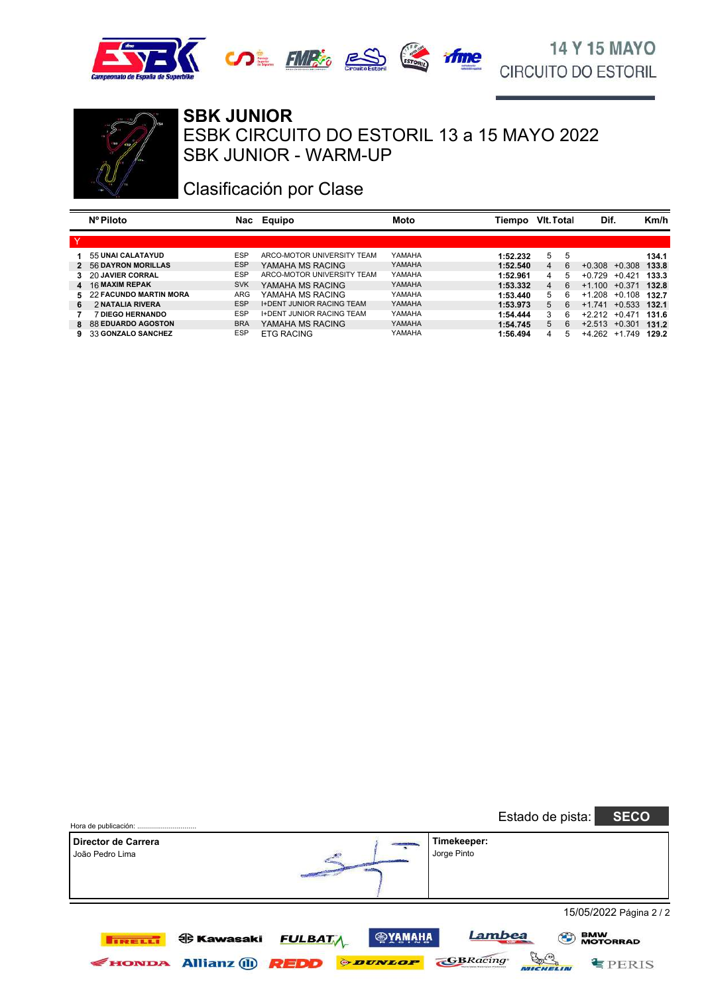





#### **SBK JUNIOR**

SBK JUNIOR - WARM-UP ESBK CIRCUITO DO ESTORIL 13 a 15 MAYO 2022

### Clasificación por Clase

|          | Nº Piloto                 | Nac        | Equipo                           | Moto   | Tiempo   | VIt. Total |    | Dif.     |          | Km/h  |
|----------|---------------------------|------------|----------------------------------|--------|----------|------------|----|----------|----------|-------|
| <b>V</b> |                           |            |                                  |        |          |            |    |          |          |       |
|          | 55 UNAI CALATAYUD         | <b>ESP</b> | ARCO-MOTOR UNIVERSITY TEAM       | YAMAHA | 1:52.232 | 5          | 5  |          |          | 134.1 |
|          | 2 56 DAYRON MORILLAS      | <b>ESP</b> | YAMAHA MS RACING                 | YAMAHA | 1:52.540 | 4          | 6  | $+0.308$ | $+0.308$ | 133.8 |
|          | 3 20 JAVIER CORRAL        | <b>ESP</b> | ARCO-MOTOR UNIVERSITY TEAM       | YAMAHA | 1:52.961 | 4          | 5. | $+0.729$ | $+0.421$ | 133.3 |
|          | 4 16 MAXIM REPAK          | <b>SVK</b> | YAMAHA MS RACING                 | YAMAHA | 1:53.332 | 4          | 6  | $+1.100$ | $+0.371$ | 132.8 |
|          | 5 22 FACUNDO MARTIN MORA  | ARG        | YAMAHA MS RACING                 | YAMAHA | 1:53.440 | 5          | ĥ  | $+1208$  | $+0.108$ | 132.7 |
| 6        | 2 NATALIA RIVERA          | <b>ESP</b> | <b>I+DENT JUNIOR RACING TEAM</b> | YAMAHA | 1:53.973 | 5          | 6  | $+1.741$ | $+0.533$ | 132.1 |
|          | <b>7 DIEGO HERNANDO</b>   | <b>ESP</b> | <b>I+DENT JUNIOR RACING TEAM</b> | YAMAHA | 1:54.444 | 3          | 6  | $+2.212$ | $+0.471$ | 131.6 |
| 8.       | <b>88 EDUARDO AGOSTON</b> | <b>BRA</b> | YAMAHA MS RACING                 | YAMAHA | 1:54.745 | 5          | ĥ  | $+2.513$ | $+0.301$ | 131.2 |
| 9.       | 33 GONZALO SANCHEZ        | <b>ESP</b> | <b>ETG RACING</b>                | YAMAHA | 1:56.494 | 4          | 5  | $+4.262$ | $+1.749$ | 129.2 |

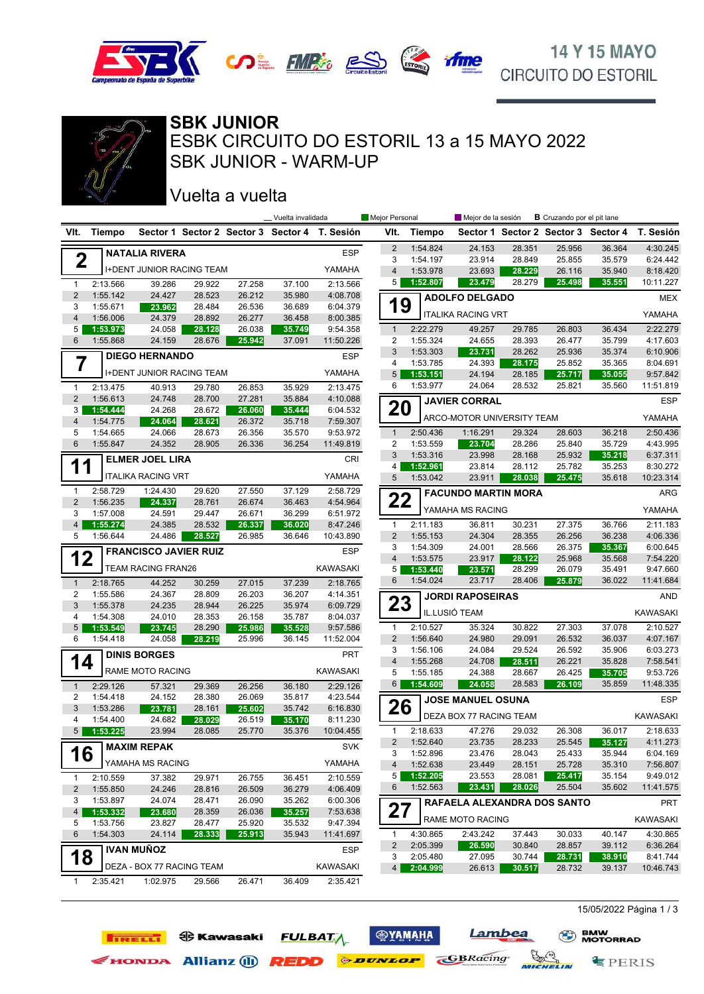





SBK JUNIOR - WARM-UP ESBK CIRCUITO DO ESTORIL 13 a 15 MAYO 2022 **SBK JUNIOR**

### Vuelta a vuelta

**TIRELLI OG Kawasaki** 

| Sector 1 Sector 2 Sector 3 Sector 4 T. Sesión<br><b>Tiempo</b><br>VIt.<br><b>Tiempo</b><br>Sector 1 Sector 2 Sector 3 Sector 4<br>VIt.                                                                         |                       |
|----------------------------------------------------------------------------------------------------------------------------------------------------------------------------------------------------------------|-----------------------|
|                                                                                                                                                                                                                | T. Sesión             |
| $\overline{2}$<br>1:54.824<br>24.153<br>28.351<br>25.956<br>36.364<br><b>ESP</b><br><b>NATALIA RIVERA</b>                                                                                                      | 4:30.245              |
| $\mathbf 2$<br>3<br>1:54.197<br>23.914<br>28.849<br>25.855<br>35.579                                                                                                                                           | 6:24.442              |
| <b>I+DENT JUNIOR RACING TEAM</b><br>YAMAHA<br>$\overline{4}$<br>1:53.978<br>23.693<br>26.116<br>35.940<br>28.229                                                                                               | 8:18.420              |
| 5 <sup>1</sup><br>1:52.807<br>23.479<br>28.279<br>25.498<br>35.551<br>27.258<br>37.100<br>2:13.566<br>2:13.566<br>39.286<br>29.922<br>$\mathbf{1}$                                                             | 10:11.227             |
| $\overline{2}$<br>1:55.142<br>24.427<br>28.523<br>26.212<br>35.980<br>4:08.708<br><b>ADOLFO DELGADO</b><br>19<br>28.484<br>36.689<br>3<br>1:55.671<br>26.536<br>6:04.379<br>23.962                             | <b>MEX</b>            |
| <b>ITALIKA RACING VRT</b><br>$\overline{4}$<br>1:56.006<br>26.277<br>24.379<br>28.892<br>36.458<br>8:00.385                                                                                                    | YAMAHA                |
| 2:22.279<br>49.257<br>26.803<br>36.434<br>5<br>1:53.973<br>24.058<br>28.128<br>26.038<br>35.749<br>9:54.358<br>$\mathbf{1}$<br>29.785                                                                          | 2:22.279              |
| 6<br>1:55.868<br>1:55.324<br>28.393<br>26.477<br>35.799<br>24.159<br>28.676<br>25.942<br>37.091<br>11:50.226<br>2<br>24.655                                                                                    | 4:17.603              |
| 3<br>1:53.303<br>23.731<br>25.936<br>35.374<br>28.262<br><b>ESP</b><br><b>DIEGO HERNANDO</b>                                                                                                                   | 6:10.906              |
| 7<br>4<br>1:53.785<br>24.393<br>25.852<br>35.365<br>28.175<br><b>I+DENT JUNIOR RACING TEAM</b><br>YAMAHA<br>5<br>24.194<br>28.185                                                                              | 8:04.691<br>9:57.842  |
| 1:53.151<br>25.717<br>35.055<br>1:53.977<br>6<br>24.064<br>28.532<br>25.821<br>35.560<br>2:13.475                                                                                                              | 11:51.819             |
| 2:13.475<br>40.913<br>29.780<br>26.853<br>35.929<br>$\mathbf{1}$<br>$\overline{2}$<br>1:56.613<br>24.748<br>28.700<br>27.281<br>35.884<br>4:10.088                                                             |                       |
| <b>JAVIER CORRAL</b><br>20<br>1:54.444<br>24.268<br>28.672<br>26.060<br>35.444<br>6:04.532<br>3                                                                                                                | <b>ESP</b>            |
| ARCO-MOTOR UNIVERSITY TEAM<br>4<br>1:54.775<br>24.064<br>28.621<br>26.372<br>35.718<br>7:59.307                                                                                                                | YAMAHA                |
| 2:50.436<br>36.218<br>1:54.665<br>24.066<br>28.673<br>26.356<br>$\mathbf{1}$<br>1:16.291<br>29.324<br>28.603<br>5<br>35.570<br>9:53.972                                                                        | 2:50.436              |
| 6<br>1:55.847<br>24.352<br>26.336<br>36.254<br>$\overline{2}$<br>1:53.559<br>25.840<br>28.905<br>11:49.819<br>23.704<br>28.286<br>35.729                                                                       | 4:43.995              |
| 3<br>1:53.316<br>23.998<br>25.932<br>35.218<br>28.168<br><b>ELMER JOEL LIRA</b><br>CRI                                                                                                                         | 6:37.311              |
| 11<br>1:52.961<br>23.814<br>28.112<br>25.782<br>35.253<br>4<br>YAMAHA<br><b>ITALIKA RACING VRT</b><br>1:53.042<br>5<br>23.911<br>35.618<br>28.038<br>25.475                                                    | 8:30.272<br>10:23.314 |
| 2:58.729<br>2:58.729<br>1:24.430<br>29.620<br>27.550<br>37.129<br>$\mathbf{1}$                                                                                                                                 |                       |
| <b>FACUNDO MARTIN MORA</b><br>22<br>$\overline{2}$<br>1:56.235<br>24.337<br>28.761<br>26.674<br>4:54.964<br>36.463                                                                                             | ARG                   |
| YAMAHA MS RACING<br>1:57.008<br>3<br>24.591<br>29.447<br>26.671<br>36.299<br>6:51.972                                                                                                                          | YAMAHA                |
| 2:11.183<br>27.375<br>$\overline{4}$<br>1:55.274<br>26.337<br>36.020<br>$\mathbf{1}$<br>36.811<br>30.231<br>36.766<br>24.385<br>28.532<br>8:47.246                                                             | 2:11.183              |
| 1:56.644<br>$\overline{2}$<br>1:55.153<br>24.304<br>26.256<br>5<br>24.486<br>28.527<br>26.985<br>36.646<br>10:43.890<br>28.355<br>36.238                                                                       | 4:06.336              |
| 3<br>1:54.309<br>26.375<br>24.001<br>28.566<br>35.367<br><b>ESP</b><br><b>FRANCISCO JAVIER RUIZ</b>                                                                                                            | 6:00.645              |
| 12<br>$\overline{4}$<br>1:53.575<br>23.917<br>25.968<br>35.568<br>28.122<br><b>TEAM RACING FRAN26</b><br>KAWASAKI<br>1:53.440<br>5<br>23.571<br>28.299<br>26.079<br>35.491                                     | 7:54.220<br>9:47.660  |
| 6<br>1:54.024<br>23.717<br>28.406<br>36.022<br>25.879<br>2:18.765<br>44.252<br>30.259<br>27.015<br>37.239<br>2:18.765<br>$\mathbf{1}$                                                                          | 11:41.684             |
| 1:55.586<br>26.203<br>2<br>24.367<br>28.809<br>36.207<br>4:14.351<br><b>JORDI RAPOSEIRAS</b>                                                                                                                   | AND                   |
| 23<br>3<br>1:55.378<br>28.944<br>26.225<br>24.235<br>35.974<br>6:09.729                                                                                                                                        |                       |
| IL.LUSIÓ TEAM<br>4<br>1:54.308<br>24.010<br>28.353<br>26.158<br>35.787<br>8:04.037                                                                                                                             | <b>KAWASAKI</b>       |
| 27.303<br>1:53.549<br>28.290<br>2:10.527<br>35.324<br>30.822<br>37.078<br>5<br>23.745<br>25.986<br>35.528<br>9:57.586<br>1                                                                                     | 2:10.527              |
| $\overline{2}$<br>1:56.640<br>26.532<br>36.037<br>6<br>1:54.418<br>24.058<br>28.219<br>25.996<br>36.145<br>11:52.004<br>24.980<br>29.091                                                                       | 4:07.167              |
| 1:56.106<br>24.084<br>29.524<br>26.592<br>3<br>35.906<br><b>PRT</b><br><b>DINIS BORGES</b><br>14<br>$\overline{4}$<br>1:55.268<br>24.708<br>26.221<br>35.828<br>28.511                                         | 6:03.273<br>7:58.541  |
| RAME MOTO RACING<br><b>KAWASAKI</b><br>5<br>1:55.185<br>26.425<br>24.388<br>28.667<br>35.705                                                                                                                   | 9:53.726              |
| 6<br>1:54.609<br>24.058<br>28.583<br>26.109<br>35.859<br>2:29.126<br>57.321<br>29.369<br>26.256<br>2:29.126<br>$\mathbf{1}$<br>36.180                                                                          | 11:48.335             |
| $\overline{2}$<br>1:54.418<br>24.152<br>28.380<br>26.069<br>35.817<br>4:23.544<br><b>JOSE MANUEL OSUNA</b>                                                                                                     | <b>ESP</b>            |
| 26<br>3<br>1:53.286<br>23.781<br>28.161<br>25.602<br>35.742<br>6:16.830                                                                                                                                        |                       |
| DEZA BOX 77 RACING TEAM<br>4<br>1:54.400<br>24.682<br>26.519<br>8:11.230<br>28.029<br>35.170                                                                                                                   | <b>KAWASAKI</b>       |
| 2:18.633<br>5<br>47.276<br>29.032<br>1:53.225<br>23.994<br>28.085<br>25.770<br>35.376<br>10:04.455<br>1<br>26.308<br>36.017                                                                                    | 2:18.633              |
| $\overline{2}$<br>35.127<br>1:52.640<br>23.735<br>28.233<br>25.545<br>MAXIM REPAK<br><b>SVK</b><br>16<br>1:52.896<br>25.433<br>35.944<br>23.476<br>28.043<br>3                                                 | 4:11.273<br>6:04.169  |
| YAMAHA MS RACING<br>YAMAHA<br>1:52.638<br>$\overline{4}$<br>23.449<br>28.151<br>25.728<br>35.310                                                                                                               | 7:56.807              |
| 1:52.205<br>23.553<br>28.081<br>25.417<br>35.154<br>5<br>2:10.559<br>2:10.559<br>37.382<br>29.971<br>26.755<br>36.451<br>$\mathbf{1}$                                                                          | 9:49.012              |
| 6<br>1:52.563<br>25.504<br>35.602<br>23.431<br>28.026<br>$\overline{2}$<br>1:55.850<br>24.246<br>28.816<br>26.509<br>36.279<br>4:06.409                                                                        | 11:41.575             |
| 1:53.897<br>24.074<br>28.471<br>26.090<br>35.262<br>6:00.306<br>3<br>RAFAELA ALEXANDRA DOS SANTO                                                                                                               | <b>PRT</b>            |
| 27<br>1:53.332<br>23.680<br>28.359<br>26.036<br>35.257<br>7:53.638<br>4<br>RAME MOTO RACING                                                                                                                    | KAWASAKI              |
| 1:53.756<br>23.827<br>28.477<br>25.920<br>9:47.394<br>5<br>35.532                                                                                                                                              |                       |
| 6<br>1:54.303<br>35.943<br>11:41.697<br>4:30.865<br>2:43.242<br>37.443<br>30.033<br>40.147<br>24.114<br>28.333<br>25.913<br>$\mathbf{1}$<br>$\overline{2}$<br>2:05.399<br>26.590<br>30.840<br>28.857<br>39.112 | 4:30.865<br>6:36.264  |
| <b>IVAN MUÑOZ</b><br>ESP<br>18<br>2:05.480<br>27.095<br>30.744<br>3<br>28.731<br>38.910                                                                                                                        | 8:41.744              |
| DEZA - BOX 77 RACING TEAM<br>KAWASAKI<br>4 2:04.999<br>26.613<br>39.137<br>30.517<br>28.732                                                                                                                    | 10:46.743             |
| 1:02.975<br>26.471<br>2:35.421<br>2:35.421<br>29.566<br>36.409<br>1                                                                                                                                            |                       |

**ФУАМАНА** 

**FULBATA** 

EHONDA Allianz (11) **REDD** *PENLOP* 

Lambea

**GBRacing** 

15/05/2022 Página 1 / 3

 $\equiv$  PERIS

**BMW**<br>MOTORRAD

**ICHELIN**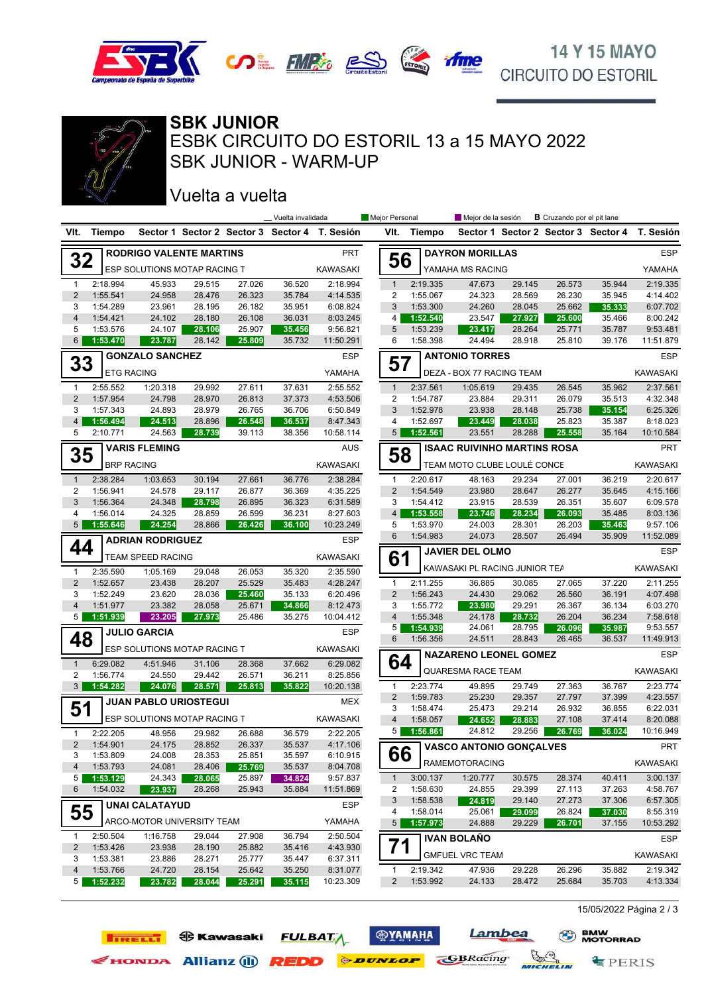



**BBB** 

SBK JUNIOR - WARM-UP ESBK CIRCUITO DO ESTORIL 13 a 15 MAYO 2022 **SBK JUNIOR**

### Vuelta a vuelta

**TIRELLI ED** Kawasaki

|                     |                      |                                |                  |                  | _Vuelta invalidada |                                               | Mejor Personal |          | Mejor de la sesión                 |        |        |        |                                               |
|---------------------|----------------------|--------------------------------|------------------|------------------|--------------------|-----------------------------------------------|----------------|----------|------------------------------------|--------|--------|--------|-----------------------------------------------|
| VIt.                | Tiempo               |                                |                  |                  |                    | Sector 1 Sector 2 Sector 3 Sector 4 T. Sesión | VIt.           | Tiempo   |                                    |        |        |        | Sector 1 Sector 2 Sector 3 Sector 4 T. Sesión |
|                     |                      | <b>RODRIGO VALENTE MARTINS</b> |                  |                  |                    | <b>PRT</b>                                    |                |          | <b>DAYRON MORILLAS</b>             |        |        |        | <b>ESP</b>                                    |
| 32                  |                      | ESP SOLUTIONS MOTAP RACING T   |                  |                  |                    | KAWASAKI                                      | 56             |          | YAMAHA MS RACING                   |        |        |        | YAMAHA                                        |
| $\mathbf{1}$        | 2:18.994             | 45.933                         | 29.515           | 27.026           | 36.520             | 2:18.994                                      | $\mathbf{1}$   | 2:19.335 | 47.673                             | 29.145 | 26.573 | 35.944 | 2:19.335                                      |
| $\overline{2}$      | 1:55.541             | 24.958                         | 28.476           | 26.323           | 35.784             | 4:14.535                                      | 2              | 1:55.067 | 24.323                             | 28.569 | 26.230 | 35.945 | 4:14.402                                      |
| 3                   | 1:54.289             | 23.961                         | 28.195           | 26.182           | 35.951             | 6:08.824                                      | 3              | 1:53.300 | 24.260                             | 28.045 | 25.662 | 35.333 | 6:07.702                                      |
| $\overline{4}$      | 1:54.421             | 24.102                         | 28.180           | 26.108           | 36.031             | 8:03.245                                      | 4              | 1:52.540 | 23.547                             | 27.927 | 25.600 | 35.466 | 8:00.242                                      |
| 5                   | 1:53.576             | 24.107                         | 28.106           | 25.907           | 35.456             | 9:56.821                                      | 5              | 1:53.239 | 23.417                             | 28.264 | 25.771 | 35.787 | 9:53.481                                      |
| 6                   | 1:53.470             | 23.787                         | 28.142           | 25.809           | 35.732             | 11:50.291                                     | 6              | 1:58.398 | 24.494                             | 28.918 | 25.810 | 39.176 | 11:51.879                                     |
| 33                  |                      | <b>GONZALO SANCHEZ</b>         |                  |                  |                    | <b>ESP</b>                                    | 57             |          | <b>ANTONIO TORRES</b>              |        |        |        | <b>ESP</b>                                    |
|                     | <b>ETG RACING</b>    |                                |                  |                  |                    | YAMAHA                                        |                |          | DEZA - BOX 77 RACING TEAM          |        |        |        | <b>KAWASAKI</b>                               |
| 1                   | 2:55.552             | 1:20.318                       | 29.992           | 27.611           | 37.631             | 2:55.552                                      | $\mathbf{1}$   | 2:37.561 | 1:05.619                           | 29.435 | 26.545 | 35.962 | 2:37.561                                      |
| $\overline{2}$      | 1:57.954             | 24.798                         | 28.970           | 26.813           | 37.373             | 4:53.506                                      | 2              | 1:54.787 | 23.884                             | 29.311 | 26.079 | 35.513 | 4:32.348                                      |
| 3                   | 1:57.343             | 24.893                         | 28.979           | 26.765           | 36.706             | 6:50.849                                      | 3              | 1:52.978 | 23.938                             | 28.148 | 25.738 | 35.154 | 6:25.326                                      |
| $\overline{4}$      | 1:56.494             | 24.513                         | 28.896           | 26.548           | 36.537             | 8:47.343                                      | 4              | 1:52.697 | 23.449                             | 28.038 | 25.823 | 35.387 | 8:18.023                                      |
| 5                   | 2:10.771             | 24.563                         | 28.739           | 39.113           | 38.356             | 10:58.114                                     | 5              | 1:52.561 | 23.551                             | 28.288 | 25.558 | 35.164 | 10:10.584                                     |
| 35                  |                      | <b>VARIS FLEMING</b>           |                  |                  |                    | <b>AUS</b>                                    | 58             |          | <b>ISAAC RUIVINHO MARTINS ROSA</b> |        |        |        | <b>PRT</b>                                    |
|                     | <b>BRP RACING</b>    |                                |                  |                  |                    | KAWASAKI                                      |                |          | TEAM MOTO CLUBE LOULÉ CONCE        |        |        |        | <b>KAWASAKI</b>                               |
| $\mathbf{1}$        | 2:38.284             | 1:03.653                       | 30.194           | 27.661           | 36.776             | 2:38.284                                      | $\mathbf{1}$   | 2:20.617 | 48.163                             | 29.234 | 27.001 | 36.219 | 2:20.617                                      |
| 2                   | 1:56.941             | 24.578                         | 29.117           | 26.877           | 36.369             | 4:35.225                                      | 2              | 1:54.549 | 23.980                             | 28.647 | 26.277 | 35.645 | 4:15.166                                      |
| 3                   | 1:56.364             | 24.348                         | 28.798           | 26.895           | 36.323             | 6:31.589                                      | 3              | 1:54.412 | 23.915                             | 28.539 | 26.351 | 35.607 | 6:09.578                                      |
| 4                   | 1:56.014             | 24.325                         | 28.859           | 26.599           | 36.231             | 8:27.603                                      | $\overline{4}$ | 1:53.558 | 23.746                             | 28.234 | 26.093 | 35.485 | 8:03.136                                      |
| $5\overline{)}$     | 1:55.646             | 24.254                         | 28.866           | 26.426           | 36.100             | 10:23.249                                     | 5              | 1:53.970 | 24.003<br>28.301                   |        | 26.203 | 35.463 | 9:57.106                                      |
| 44                  |                      | <b>ADRIAN RODRIGUEZ</b>        |                  |                  |                    | <b>ESP</b>                                    | 6              | 1:54.983 | 24.073                             | 28.507 | 26.494 | 35.909 | 11:52.089                                     |
|                     |                      | TEAM SPEED RACING              |                  |                  |                    | KAWASAKI                                      | 61             |          | <b>JAVIER DEL OLMO</b>             |        |        |        | <b>ESP</b>                                    |
| $\mathbf{1}$        | 2:35.590             | 1:05.169                       | 29.048           | 26.053           | 35.320             | 2:35.590                                      |                |          | KAWASAKI PL RACING JUNIOR TEA      |        |        |        | <b>KAWASAKI</b>                               |
| $\overline{2}$      | 1:52.657             | 23.438                         | 28.207           | 25.529           | 35.483             | 4:28.247                                      | 1              | 2:11.255 | 36.885                             | 30.085 | 27.065 | 37.220 | 2:11.255                                      |
| 3                   | 1:52.249             | 23.620                         | 28.036           | 25.460           | 35.133             | 6:20.496                                      | $\overline{2}$ | 1:56.243 | 24.430                             | 29.062 | 26.560 | 36.191 | 4:07.498                                      |
| $\overline{4}$      | 1:51.977             | 23.382                         | 28.058           | 25.671           | 34.866             | 8:12.473                                      | 3              | 1:55.772 | 23.980                             | 29.291 | 26.367 | 36.134 | 6:03.270                                      |
| 5                   | 1:51.939             | 23.205                         | 27.973           | 25.486           | 35.275             | 10:04.412                                     | 4              | 1:55.348 | 24.178                             | 28.732 | 26.204 | 36.234 | 7:58.618                                      |
|                     |                      | <b>JULIO GARCIA</b>            |                  |                  |                    | ESP                                           | 5              | 1:54.939 | 24.061                             | 28.795 | 26.096 | 35.987 | 9:53.557                                      |
| 48                  |                      | ESP SOLUTIONS MOTAP RACING T   |                  |                  |                    | KAWASAKI                                      | 6              | 1:56.356 | 24.511                             | 28.843 | 26.465 | 36.537 | 11:49.913                                     |
| $\mathbf{1}$        | 6:29.082             | 4:51.946                       | 31.106           | 28.368           | 37.662             | 6:29.082                                      | 64             |          | <b>NAZARENO LEONEL GOMEZ</b>       |        |        |        | <b>ESP</b>                                    |
| 2                   | 1:56.774             | 24.550                         | 29.442           | 26.571           | 36.211             | 8:25.856                                      |                |          | QUARESMA RACE TEAM                 |        |        |        | <b>KAWASAKI</b>                               |
| $\mathbf{3}$        | 1:54.282             | 24.076                         | 28.571           | 25.813           | 35.822             | 10:20.138                                     | $\mathbf{1}$   | 2:23.774 | 49.895                             | 29.749 | 27.363 | 36.767 | 2:23.774                                      |
|                     |                      | <b>JUAN PABLO URIOSTEGUI</b>   |                  |                  |                    | MEX                                           | $\overline{2}$ | 1:59.783 | 25.230                             | 29.357 | 27.797 | 37.399 | 4:23.557                                      |
| 51                  |                      |                                |                  |                  |                    |                                               | 3              | 1:58.474 | 25.473                             | 29.214 | 26.932 | 36.855 | 6:22.031                                      |
|                     |                      | ESP SOLUTIONS MOTAP RACING T   |                  |                  |                    | <b>KAWASAKI</b>                               | $\overline{4}$ | 1:58.057 | 24.652                             | 28.883 | 27.108 | 37.414 | 8:20.088                                      |
| $\mathbf{1}$        | 2:22.205             | 48.956                         | 29.982           | 26.688           | 36.579             | 2:22.205                                      | 5              | 1:56.861 | 24.812                             | 29.256 | 26.769 | 36.024 | 10:16.949                                     |
| $2^{\circ}$         | 1:54.901             | 24.175                         | 28.852           | 26.337           | 35.537             | 4:17.106                                      | 66             |          | VASCO ANTONIO GONÇALVES            |        |        |        | PRT                                           |
| 3<br>$\overline{4}$ | 1:53.809<br>1:53.793 | 24.008<br>24.081               | 28.353<br>28.406 | 25.851<br>25.769 | 35.597<br>35.537   | 6:10.915<br>8:04.708                          |                |          | <b>RAMEMOTORACING</b>              |        |        |        | KAWASAKI                                      |
| 5                   | 1:53.129             | 24.343                         | 28.065           | 25.897           | 34.824             | 9:57.837                                      | $\mathbf{1}$   | 3:00.137 | 1:20.777                           | 30.575 | 28.374 | 40.411 | 3:00.137                                      |
| 6                   | 1:54.032             | 23.937                         | 28.268           | 25.943           | 35.884             | 11:51.869                                     | 2              | 1:58.630 | 24.855                             | 29.399 | 27.113 | 37.263 | 4:58.767                                      |
|                     |                      |                                |                  |                  |                    | <b>ESP</b>                                    | 3              | 1:58.538 | 24.819                             | 29.140 | 27.273 | 37.306 | 6:57.305                                      |
| 55                  |                      | <b>UNAI CALATAYUD</b>          |                  |                  |                    |                                               | 4              | 1:58.014 | 25.061                             | 29.099 | 26.824 | 37.030 | 8:55.319                                      |
|                     |                      | ARCO-MOTOR UNIVERSITY TEAM     |                  |                  |                    | YAMAHA                                        | 5 <sup>5</sup> | 1:57.973 | 24.888                             | 29.229 | 26.701 | 37.155 | 10:53.292                                     |
| $\mathbf 1$         | 2:50.504             | 1:16.758                       | 29.044           | 27.908           | 36.794             | 2:50.504                                      |                |          | <b>IVAN BOLAÑO</b>                 |        |        |        | <b>ESP</b>                                    |
| $\overline{2}$      | 1:53.426             | 23.938                         | 28.190           | 25.882           | 35.416             | 4:43.930                                      | 71             |          |                                    |        |        |        |                                               |
| 3                   | 1:53.381             | 23.886                         | 28.271           | 25.777           | 35.447             | 6:37.311                                      |                |          | <b>GMFUEL VRC TEAM</b>             |        |        |        | KAWASAKI                                      |
| 4                   | 1:53.766             | 24.720                         | 28.154           | 25.642           | 35.250             | 8:31.077                                      | $\mathbf{1}$   | 2:19.342 | 47.936                             | 29.228 | 26.296 | 35.882 | 2:19.342                                      |
| 5                   | 1:52.232             | 23.782                         | 28.044           | 25.291           | 35.115             | 10:23.309                                     | $2^{\circ}$    | 1:53.992 | 24.133                             | 28.472 | 25.684 | 35.703 | 4:13.334                                      |

**<b>SYAMAHA** 

**FULBATA** 

Exercise Allianz (1) **REDD** *PEDD PEDD PEDD CBRacing* 

Lambea

MICHELIN

15/05/2022 Página 2 / 3

**专PERIS** 

**BMW**<br>MOTORRAD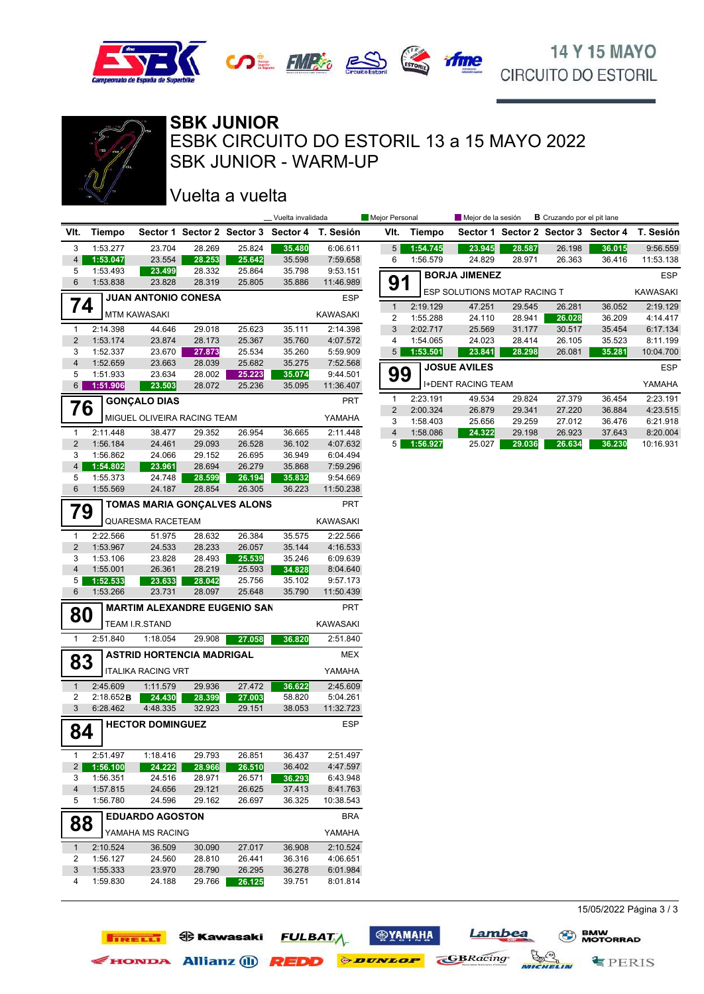





SBK JUNIOR - WARM-UP ESBK CIRCUITO DO ESTORIL 13 a 15 MAYO 2022 **SBK JUNIOR**

## Vuelta a vuelta

**TIRELLI ED Kawasaki** 

|                                |                      |                                     |                  |                  | __ Vuelta invalidada |                                               | Mejor Personal |                      | Mejor de la sesión           |                  | <b>B</b> Cruzando por el pit lane |                  |                                               |
|--------------------------------|----------------------|-------------------------------------|------------------|------------------|----------------------|-----------------------------------------------|----------------|----------------------|------------------------------|------------------|-----------------------------------|------------------|-----------------------------------------------|
|                                | VIt. Tiempo          |                                     |                  |                  |                      | Sector 1 Sector 2 Sector 3 Sector 4 T. Sesión | VIt.           | Tiempo               |                              |                  |                                   |                  | Sector 1 Sector 2 Sector 3 Sector 4 T. Sesión |
| 3                              | 1:53.277             | 23.704                              | 28.269           | 25.824           | 35.480               | 6:06.611                                      | 5 <sup>5</sup> | 1:54.745             | 23.945                       | 28.587           | 26.198                            | 36.015           | 9:56.559                                      |
| 4 <sup>1</sup>                 | 1:53.047             | 23.554                              | 28.253           | 25.642           | 35.598               | 7:59.658                                      | 6              | 1:56.579             | 24.829                       | 28.971           | 26.363                            | 36.416           | 11:53.138                                     |
| 5                              | 1:53.493             | 23.499                              | 28.332           | 25.864           | 35.798               | 9:53.151                                      |                |                      | <b>BORJA JIMENEZ</b>         |                  |                                   |                  | <b>ESP</b>                                    |
| 6                              | 1:53.838             | 23.828                              | 28.319           | 25.805           | 35.886               | 11:46.989                                     | 91             |                      |                              |                  |                                   |                  |                                               |
|                                |                      | <b>JUAN ANTONIO CONESA</b>          |                  |                  |                      | <b>ESP</b>                                    |                |                      | ESP SOLUTIONS MOTAP RACING T |                  |                                   |                  | KAWASAKI                                      |
|                                | 74                   | <b>MTM KAWASAKI</b>                 |                  |                  |                      | KAWASAKI                                      | $\mathbf{1}$   | 2:19.129             | 47.251                       | 29.545           | 26.281                            | 36.052           | 2:19.129                                      |
|                                |                      |                                     |                  |                  |                      |                                               | 2              | 1:55.288             | 24.110                       | 28.941           | 26.028                            | 36.209           | 4:14.417                                      |
| $\mathbf{1}$<br>$\overline{2}$ | 2:14.398             | 44.646                              | 29.018           | 25.623           | 35.111               | 2:14.398                                      | 3              | 2:02.717             | 25.569                       | 31.177           | 30.517<br>26.105                  | 35.454           | 6:17.134                                      |
| 3                              | 1:53.174<br>1:52.337 | 23.874<br>23.670                    | 28.173<br>27.873 | 25.367<br>25.534 | 35.760<br>35.260     | 4:07.572<br>5:59.909                          | 4<br>5         | 1:54.065<br>1:53.501 | 24.023<br>23.841             | 28.414<br>28.298 | 26.081                            | 35.523<br>35.281 | 8:11.199<br>10:04.700                         |
| $\overline{4}$                 | 1:52.659             | 23.663                              | 28.039           | 25.682           | 35.275               | 7:52.568                                      |                |                      |                              |                  |                                   |                  |                                               |
| 5                              | 1:51.933             | 23.634                              | 28.002           | 25.223           | 35.074               | 9:44.501                                      | 99             |                      | <b>JOSUE AVILES</b>          |                  |                                   |                  | ESP                                           |
| 6                              | 1:51.906             | 23.503                              | 28.072           | 25.236           | 35.095               | 11:36.407                                     |                |                      | <b>I+DENT RACING TEAM</b>    |                  |                                   |                  | YAMAHA                                        |
|                                |                      | <b>GONÇALO DIAS</b>                 |                  |                  |                      | <b>PRT</b>                                    | 1              | 2:23.191             | 49.534                       | 29.824           | 27.379                            | 36.454           | 2:23.191                                      |
|                                | 76                   |                                     |                  |                  |                      |                                               | $\overline{2}$ | 2:00.324             | 26.879                       | 29.341           | 27.220                            | 36.884           | 4:23.515                                      |
|                                |                      | MIGUEL OLIVEIRA RACING TEAM         |                  |                  |                      | YAMAHA                                        | 3              | 1:58.403             | 25.656                       | 29.259           | 27.012                            | 36.476           | 6:21.918                                      |
| $\mathbf{1}$                   | 2:11.448             | 38.477                              | 29.352           | 26.954           | 36.665               | 2:11.448                                      | 4              | 1:58.086             | 24.322                       | 29.198           | 26.923                            | 37.643           | 8:20.004                                      |
| $\overline{2}$                 | 1:56.184             | 24.461                              | 29.093           | 26.528           | 36.102               | 4:07.632                                      | 5 <sup>1</sup> | 1:56.927             | 25.027                       | 29.036           | 26.634                            | 36.230           | 10:16.931                                     |
| 3                              | 1:56.862             | 24.066                              | 29.152           | 26.695           | 36.949               | 6:04.494                                      |                |                      |                              |                  |                                   |                  |                                               |
| $\overline{4}$<br>5            | 1:54.802<br>1:55.373 | 23.961<br>24.748                    | 28.694<br>28.599 | 26.279           | 35.868<br>35.832     | 7:59.296<br>9:54.669                          |                |                      |                              |                  |                                   |                  |                                               |
| 6                              | 1:55.569             | 24.187                              | 28.854           | 26.194<br>26.305 | 36.223               | 11:50.238                                     |                |                      |                              |                  |                                   |                  |                                               |
|                                |                      |                                     |                  |                  |                      |                                               |                |                      |                              |                  |                                   |                  |                                               |
|                                | 79                   | <b>TOMAS MARIA GONÇALVES ALONS</b>  |                  |                  |                      | PRT                                           |                |                      |                              |                  |                                   |                  |                                               |
|                                |                      | <b>QUARESMA RACETEAM</b>            |                  |                  |                      | KAWASAKI                                      |                |                      |                              |                  |                                   |                  |                                               |
| $\mathbf{1}$                   | 2:22.566             | 51.975                              | 28.632           | 26.384           | 35.575               | 2:22.566                                      |                |                      |                              |                  |                                   |                  |                                               |
| $\overline{2}$                 | 1:53.967             | 24.533                              | 28.233           | 26.057           | 35.144               | 4:16.533                                      |                |                      |                              |                  |                                   |                  |                                               |
| 3                              | 1:53.106             | 23.828                              | 28.493           | 25.539           | 35.246               | 6:09.639                                      |                |                      |                              |                  |                                   |                  |                                               |
| $\overline{\mathbf{4}}$        | 1:55.001             | 26.361                              | 28.219           | 25.593           | 34.828               | 8:04.640                                      |                |                      |                              |                  |                                   |                  |                                               |
| 5                              | 1:52.533             | 23.633                              | 28.042           | 25.756           | 35.102               | 9:57.173                                      |                |                      |                              |                  |                                   |                  |                                               |
| 6                              | 1:53.266             | 23.731                              | 28.097           | 25.648           | 35.790               | 11:50.439                                     |                |                      |                              |                  |                                   |                  |                                               |
|                                | 80                   | <b>MARTIM ALEXANDRE EUGENIO SAN</b> |                  |                  |                      | <b>PRT</b>                                    |                |                      |                              |                  |                                   |                  |                                               |
|                                |                      | TEAM I.R.STAND                      |                  |                  |                      | KAWASAKI                                      |                |                      |                              |                  |                                   |                  |                                               |
| $\mathbf{1}$                   | 2:51.840             | 1:18.054                            | 29.908           | 27.058           | 36.820               | 2:51.840                                      |                |                      |                              |                  |                                   |                  |                                               |
|                                |                      | <b>ASTRID HORTENCIA MADRIGAL</b>    |                  |                  |                      | <b>MEX</b>                                    |                |                      |                              |                  |                                   |                  |                                               |
|                                | 83                   |                                     |                  |                  |                      |                                               |                |                      |                              |                  |                                   |                  |                                               |
|                                |                      | <b>ITALIKA RACING VRT</b>           |                  |                  |                      | YAMAHA                                        |                |                      |                              |                  |                                   |                  |                                               |
| $\mathbf{1}$                   | 2:45.609             | 1:11.579                            | 29.936           | 27.472           | 36.622               | 2:45.609                                      |                |                      |                              |                  |                                   |                  |                                               |
| $\overline{\mathbf{c}}$        | 2:18.652B            | 24.430                              | 28.399           | 27.003           | 58.820               | 5:04.261                                      |                |                      |                              |                  |                                   |                  |                                               |
| 3                              | 6:28.462             | 4:48.335                            | 32.923           | 29.151           | 38.053               | 11:32.723                                     |                |                      |                              |                  |                                   |                  |                                               |
|                                | 84                   | <b>HECTOR DOMINGUEZ</b>             |                  |                  |                      | <b>ESP</b>                                    |                |                      |                              |                  |                                   |                  |                                               |
|                                |                      |                                     |                  |                  |                      |                                               |                |                      |                              |                  |                                   |                  |                                               |
| 1                              | 2:51.497             | 1:18.416                            | 29.793           | 26.851           | 36.437               | 2:51.497                                      |                |                      |                              |                  |                                   |                  |                                               |
| 2 <sub>1</sub>                 | 1:56.100             | 24.222                              | 28.966           | 26.510           | 36.402               | 4:47.597                                      |                |                      |                              |                  |                                   |                  |                                               |
| 3                              | 1:56.351             | 24.516                              | 28.971           | 26.571           | 36.293               | 6:43.948                                      |                |                      |                              |                  |                                   |                  |                                               |
| 4                              | 1:57.815             | 24.656                              | 29.121           | 26.625           | 37.413               | 8:41.763                                      |                |                      |                              |                  |                                   |                  |                                               |
| 5                              | 1:56.780             | 24.596                              | 29.162           | 26.697           | 36.325               | 10:38.543                                     |                |                      |                              |                  |                                   |                  |                                               |
|                                |                      | <b>EDUARDO AGOSTON</b>              |                  |                  |                      | <b>BRA</b>                                    |                |                      |                              |                  |                                   |                  |                                               |
|                                | 88                   | YAMAHA MS RACING                    |                  |                  |                      | YAMAHA                                        |                |                      |                              |                  |                                   |                  |                                               |
| $\mathbf{1}$                   | 2:10.524             | 36.509                              | 30.090           | 27.017           | 36.908               | 2:10.524                                      |                |                      |                              |                  |                                   |                  |                                               |
| 2                              | 1:56.127             | 24.560                              | 28.810           | 26.441           | 36.316               | 4:06.651                                      |                |                      |                              |                  |                                   |                  |                                               |
| 3                              | 1:55.333             | 23.970                              | 28.790           | 26.295           | 36.278               | 6:01.984                                      |                |                      |                              |                  |                                   |                  |                                               |
| 4                              | 1:59.830             | 24.188                              | 29.766           | 26.125           | 39.751               | 8:01.814                                      |                |                      |                              |                  |                                   |                  |                                               |
|                                |                      |                                     |                  |                  |                      |                                               |                |                      |                              |                  |                                   |                  |                                               |

**ФУАМАНА** 

**FULBATA** 

EHONDA Allianz (1) **REDD** *PEUTRED* 

Lambea

MICHELIN

**GBRacing** 

15/05/2022 Página 3 / 3

 $\equiv$  PERIS

**BMW**<br>MOTORRAD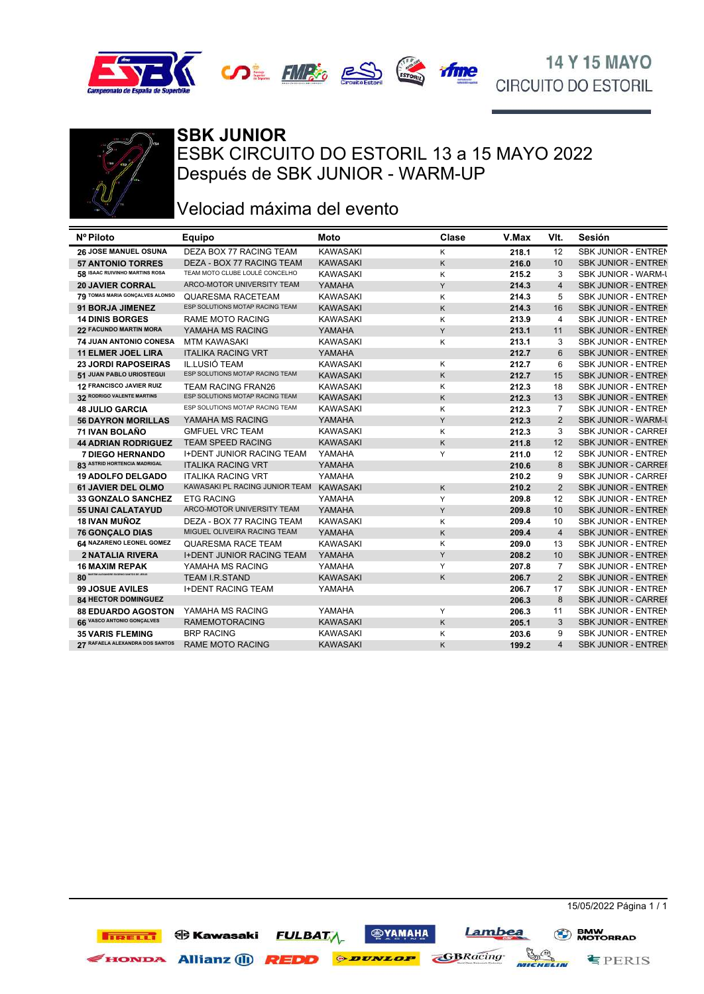







## **SBK JUNIOR**

ESBK CIRCUITO DO ESTORIL 13 a 15 MAYO 2022 Después de SBK JUNIOR - WARM-UP

### Velociad máxima del evento

| Nº Piloto                       | Equipo                           | <b>Moto</b>     | Clase | V.Max | VIt.           | Sesión                     |
|---------------------------------|----------------------------------|-----------------|-------|-------|----------------|----------------------------|
| 26 JOSE MANUEL OSUNA            | DEZA BOX 77 RACING TEAM          | <b>KAWASAKI</b> | K     | 218.1 | 12             | <b>SBK JUNIOR - ENTREN</b> |
| <b>57 ANTONIO TORRES</b>        | DEZA - BOX 77 RACING TEAM        | <b>KAWASAKI</b> | K     | 216.0 | 10             | <b>SBK JUNIOR - ENTREN</b> |
| 58 ISAAC RUIVINHO MARTINS ROSA  | TEAM MOTO CLUBE LOULÉ CONCELHO   | <b>KAWASAKI</b> | K     | 215.2 | 3              | <b>SBK JUNIOR - WARM-L</b> |
| <b>20 JAVIER CORRAL</b>         | ARCO-MOTOR UNIVERSITY TEAM       | YAMAHA          | Y     | 214.3 | $\overline{4}$ | <b>SBK JUNIOR - ENTREN</b> |
| 79 TOMAS MARIA GONÇALVES ALONSO | QUARESMA RACETEAM                | <b>KAWASAKI</b> | K     | 214.3 | 5              | SBK JUNIOR - ENTREN        |
| 91 BORJA JIMENEZ                | ESP SOLUTIONS MOTAP RACING TEAM  | <b>KAWASAKI</b> | K     | 214.3 | 16             | <b>SBK JUNIOR - ENTREN</b> |
| <b>14 DINIS BORGES</b>          | <b>RAME MOTO RACING</b>          | <b>KAWASAKI</b> | K     | 213.9 | $\overline{4}$ | <b>SBK JUNIOR - ENTREN</b> |
| 22 FACUNDO MARTIN MORA          | YAMAHA MS RACING                 | YAMAHA          | Y     | 213.1 | 11             | <b>SBK JUNIOR - ENTREN</b> |
| 74 JUAN ANTONIO CONESA          | <b>MTM KAWASAKI</b>              | <b>KAWASAKI</b> | K     | 213.1 | 3              | <b>SBK JUNIOR - ENTREN</b> |
| <b>11 ELMER JOEL LIRA</b>       | <b>ITALIKA RACING VRT</b>        | YAMAHA          |       | 212.7 | 6              | <b>SBK JUNIOR - ENTREN</b> |
| <b>23 JORDI RAPOSEIRAS</b>      | IL.LUSIÓ TEAM                    | <b>KAWASAKI</b> | Κ     | 212.7 | 6              | <b>SBK JUNIOR - ENTREN</b> |
| 51 JUAN PABLO URIOSTEGUI        | ESP SOLUTIONS MOTAP RACING TEAM  | <b>KAWASAKI</b> | Κ     | 212.7 | 15             | <b>SBK JUNIOR - ENTREN</b> |
| 12 FRANCISCO JAVIER RUIZ        | <b>TEAM RACING FRAN26</b>        | <b>KAWASAKI</b> | K     | 212.3 | 18             | <b>SBK JUNIOR - ENTREN</b> |
| 32 RODRIGO VALENTE MARTINS      | ESP SOLUTIONS MOTAP RACING TEAM  | <b>KAWASAKI</b> | K     | 212.3 | 13             | <b>SBK JUNIOR - ENTREN</b> |
| <b>48 JULIO GARCIA</b>          | ESP SOLUTIONS MOTAP RACING TEAM  | <b>KAWASAKI</b> | Κ     | 212.3 | 7              | SBK JUNIOR - ENTREN        |
| <b>56 DAYRON MORILLAS</b>       | YAMAHA MS RACING                 | YAMAHA          | Y     | 212.3 | $\overline{2}$ | <b>SBK JUNIOR - WARM-L</b> |
| 71 IVAN BOLAÑO                  | <b>GMFUEL VRC TEAM</b>           | <b>KAWASAKI</b> | Κ     | 212.3 | 3              | SBK JUNIOR - CARREI        |
| <b>44 ADRIAN RODRIGUEZ</b>      | <b>TEAM SPEED RACING</b>         | <b>KAWASAKI</b> | K     | 211.8 | 12             | <b>SBK JUNIOR - ENTREN</b> |
| <b>7 DIEGO HERNANDO</b>         | <b>I+DENT JUNIOR RACING TEAM</b> | YAMAHA          | Y     | 211.0 | 12             | <b>SBK JUNIOR - ENTREN</b> |
| 83 ASTRID HORTENCIA MADRIGAL    | <b>ITALIKA RACING VRT</b>        | YAMAHA          |       | 210.6 | 8              | <b>SBK JUNIOR - CARREI</b> |
| <b>19 ADOLFO DELGADO</b>        | <b>ITALIKA RACING VRT</b>        | YAMAHA          |       | 210.2 | 9              | <b>SBK JUNIOR - CARREI</b> |
| 61 JAVIER DEL OLMO              | KAWASAKI PL RACING JUNIOR TEAM   | KAWASAKI        | K     | 210.2 | 2              | <b>SBK JUNIOR - ENTREN</b> |
| 33 GONZALO SANCHEZ              | <b>ETG RACING</b>                | YAMAHA          | Y     | 209.8 | 12             | SBK JUNIOR - ENTREN        |
| <b>55 UNAI CALATAYUD</b>        | ARCO-MOTOR UNIVERSITY TEAM       | YAMAHA          | Y     | 209.8 | 10             | <b>SBK JUNIOR - ENTREN</b> |
| <b>18 IVAN MUÑOZ</b>            | DEZA - BOX 77 RACING TEAM        | <b>KAWASAKI</b> | K     | 209.4 | 10             | <b>SBK JUNIOR - ENTREN</b> |
| <b>76 GONCALO DIAS</b>          | MIGUEL OLIVEIRA RACING TEAM      | YAMAHA          | K     | 209.4 | $\overline{4}$ | <b>SBK JUNIOR - ENTREN</b> |
| 64 NAZARENO LEONEL GOMEZ        | QUARESMA RACE TEAM               | <b>KAWASAKI</b> | K     | 209.0 | 13             | <b>SBK JUNIOR - ENTREN</b> |
| <b>2 NATALIA RIVERA</b>         | <b>I+DENT JUNIOR RACING TEAM</b> | YAMAHA          | Y     | 208.2 | 10             | <b>SBK JUNIOR - ENTREN</b> |
| <b>16 MAXIM REPAK</b>           | YAMAHA MS RACING                 | YAMAHA          | Y     | 207.8 | $\overline{7}$ | SBK JUNIOR - ENTREN        |
| $80^{\degree}$                  | <b>TEAM I.R.STAND</b>            | <b>KAWASAKI</b> | K     | 206.7 | $\overline{2}$ | <b>SBK JUNIOR - ENTREN</b> |
| <b>99 JOSUE AVILES</b>          | <b>I+DENT RACING TEAM</b>        | YAMAHA          |       | 206.7 | 17             | <b>SBK JUNIOR - ENTREN</b> |
| <b>84 HECTOR DOMINGUEZ</b>      |                                  |                 |       | 206.3 | 8              | <b>SBK JUNIOR - CARREI</b> |
| <b>88 EDUARDO AGOSTON</b>       | YAMAHA MS RACING                 | YAMAHA          | Y     | 206.3 | 11             | <b>SBK JUNIOR - ENTREN</b> |
| 66 VASCO ANTONIO GONÇALVES      | <b>RAMEMOTORACING</b>            | <b>KAWASAKI</b> | K     | 205.1 | 3              | <b>SBK JUNIOR - ENTREN</b> |
| <b>35 VARIS FLEMING</b>         | <b>BRP RACING</b>                | <b>KAWASAKI</b> | K     | 203.6 | 9              | <b>SBK JUNIOR - ENTREN</b> |
| 27 RAFAELA ALEXANDRA DOS SANTOS | <b>RAME MOTO RACING</b>          | <b>KAWASAKI</b> | K     | 199.2 | $\overline{4}$ | <b>SBK JUNIOR - ENTREN</b> |
|                                 |                                  |                 |       |       |                |                            |

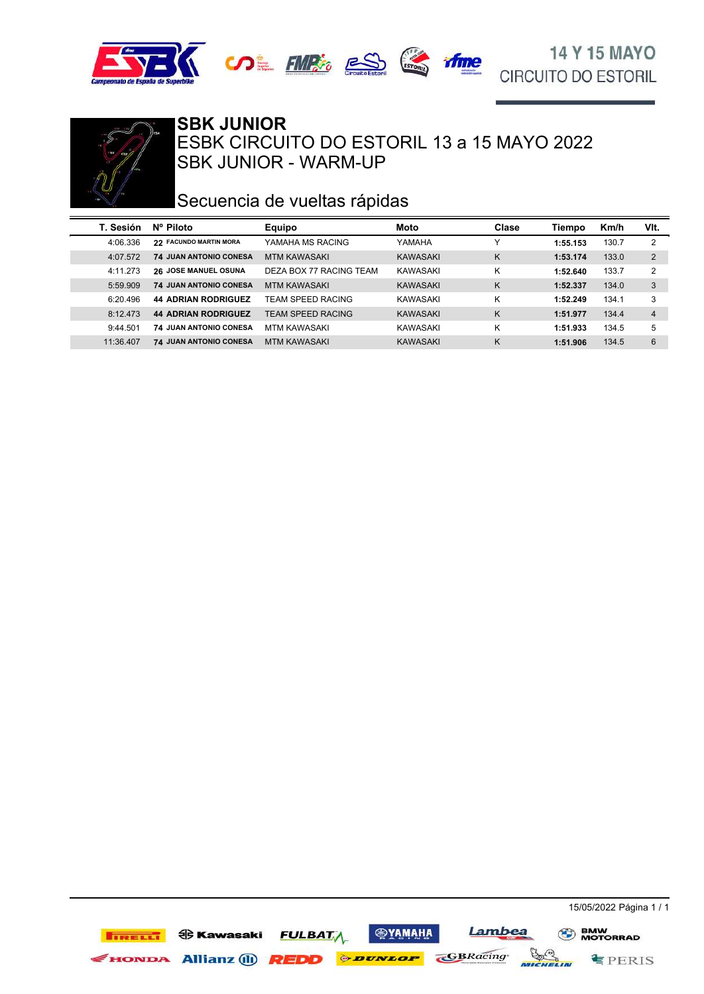





#### SBK JUNIOR - WARM-UP ESBK CIRCUITO DO ESTORIL 13 a 15 MAYO 2022 **SBK JUNIOR**

## Secuencia de vueltas rápidas

| T. Sesión | $N^{\circ}$ Piloto            | <b>Equipo</b>           | Moto     | Clase | Tiempo   | Km/h  | VIt.           |
|-----------|-------------------------------|-------------------------|----------|-------|----------|-------|----------------|
| 4:06.336  | 22 FACUNDO MARTIN MORA        | YAMAHA MS RACING        | YAMAHA   |       | 1:55.153 | 130.7 | 2              |
| 4:07.572  | <b>74 JUAN ANTONIO CONESA</b> | MTM KAWASAKI            | KAWASAKI | K     | 1:53.174 | 133.0 | $\overline{2}$ |
| 4:11.273  | <b>26 JOSE MANUEL OSUNA</b>   | DEZA BOX 77 RACING TEAM | KAWASAKI | Κ     | 1:52.640 | 133.7 | 2              |
| 5:59.909  | <b>74 JUAN ANTONIO CONESA</b> | <b>MTM KAWASAKI</b>     | KAWASAKI | K     | 1:52.337 | 134.0 | 3              |
| 6:20.496  | <b>44 ADRIAN RODRIGUEZ</b>    | TEAM SPEED RACING       | KAWASAKI | Κ     | 1:52.249 | 134.1 | 3              |
| 8:12.473  | <b>44 ADRIAN RODRIGUEZ</b>    | TEAM SPEED RACING       | KAWASAKI | K     | 1:51.977 | 134.4 | 4              |
| 9:44.501  | <b>74 JUAN ANTONIO CONESA</b> | <b>MTM KAWASAKI</b>     | KAWASAKI | Κ     | 1:51.933 | 134.5 | 5              |
| 11:36.407 | <b>74 JUAN ANTONIO CONESA</b> | <b>MTM KAWASAKI</b>     | KAWASAKI | K     | 1:51.906 | 134.5 | 6              |

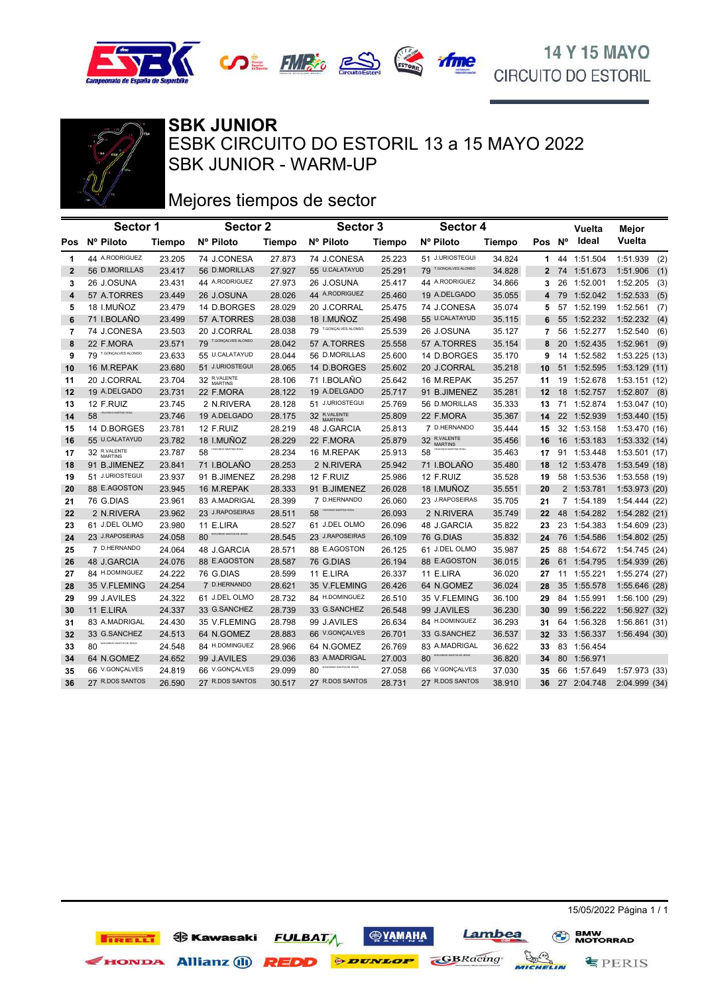





SBK JUNIOR - WARM-UP ESBK CIRCUITO DO ESTORIL 13 a 15 MAYO 2022 **SBK JUNIOR**

## Mejores tiempos de sector

|                         | Sector 1                       |        | <b>Sector 2</b>                      |        | Sector 3                     |        | Sector 4                       |               |        |    | Vuelta      | Mejor           |
|-------------------------|--------------------------------|--------|--------------------------------------|--------|------------------------------|--------|--------------------------------|---------------|--------|----|-------------|-----------------|
| Pos                     | Nº Piloto                      | Tiempo | Nº Piloto                            | Tiempo | Nº Piloto                    | Tiempo | Nº Piloto                      | <b>Tiempo</b> | Pos Nº |    | ldeal       | Vuelta          |
| 1                       | 44 A.RODRIGUEZ                 | 23.205 | 74 J.CONESA                          | 27.873 | 74 J.CONESA                  | 25.223 | 51 J.URIOSTEGUI                | 34.824        | 1.     |    | 44 1:51.504 | 1:51.939<br>(2) |
| $\mathbf{2}$            | 56 D.MORILLAS                  | 23.417 | 56 D.MORILLAS                        | 27.927 | 55 U.CALATAYUD               | 25.291 | T.GONÇALVES ALONSO<br>79       | 34.828        | 2      |    | 74 1:51.673 | 1:51.906<br>(1) |
| 3                       | 26 J.OSUNA                     | 23.431 | 44 A.RODRIGUEZ                       | 27.973 | 26 J.OSUNA                   | 25.417 | 44 A.RODRIGUEZ                 | 34.866        | 3      | 26 | 1:52.001    | 1:52.205<br>(3) |
| $\overline{\mathbf{4}}$ | 57 A.TORRES                    | 23.449 | 26 J.OSUNA                           | 28.026 | 44 A.RODRIGUEZ               | 25.460 | 19 A.DELGADO                   | 35.055        | 4      |    | 79 1:52.042 | 1:52.533<br>(5) |
| 5                       | 18 I.MUÑOZ                     | 23.479 | 14 D.BORGES                          | 28.029 | 20 J.CORRAL                  | 25.475 | 74 J.CONESA                    | 35.074        | 5      |    | 57 1:52.199 | 1:52.561<br>(7) |
| 6                       | 71 I.BOLAÑO                    | 23.499 | 57 A.TORRES                          | 28.038 | 18 I.MUÑOZ                   | 25.498 | 55 U.CALATAYUD                 | 35.115        | 6      | 55 | 1:52.232    | 1:52.232<br>(4) |
| 7                       | 74 J.CONESA                    | 23.503 | 20 J.CORRAL                          | 28.038 | 79 T.GONÇALVES ALONSO        | 25.539 | 26 J.OSUNA                     | 35.127        | 7      | 56 | 1:52.277    | 1:52.540<br>(6) |
| 8                       | 22 F.MORA                      | 23.571 | 79 T.GONÇALVES ALONSO                | 28.042 | 57 A.TORRES                  | 25.558 | 57 A.TORRES                    | 35.154        | 8      | 20 | 1:52.435    | 1:52.961<br>(9) |
| 9                       | 79 T.GONÇALVES ALONSO          | 23.633 | 55 U.CALATAYUD                       | 28.044 | 56 D.MORILLAS                | 25.600 | 14 D.BORGES                    | 35.170        | 9      | 14 | 1:52.582    | 1:53.225(13)    |
| 10                      | 16 M.REPAK                     | 23.680 | 51 J.URIOSTEGUI                      | 28.065 | 14 D.BORGES                  | 25.602 | 20 J.CORRAL                    | 35.218        | 10     | 51 | 1:52.595    | 1:53.129(11)    |
| 11                      | 20 J.CORRAL                    | 23.704 | 32 R.VALENTE                         | 28.106 | 71 I.BOLAÑO                  | 25.642 | 16 M.REPAK                     | 35.257        | 11     |    | 19 1:52.678 | 1:53.151(12)    |
| 12                      | 19 A.DELGADO                   | 23.731 | 22 F.MORA                            | 28.122 | 19 A.DELGADO                 | 25.717 | 91 B.JIMENEZ                   | 35.281        | 12     |    | 18 1:52.757 | $1:52.807$ (8)  |
| 13                      | 12 F.RUIZ                      | 23.745 | 2 N.RIVERA                           | 28.128 | 51 J.URIOSTEGUI              | 25.769 | 56 D.MORILLAS                  | 35.333        | 13     |    | 71 1:52.874 | 1:53.047 (10)   |
| 14                      | IN MARTINS ROSA<br>58          | 23.746 | 19 A.DELGADO                         | 28.175 | 32 R.VALENTE                 | 25.809 | 22 F.MORA                      | 35.367        | 14     |    | 22 1:52.939 | 1:53.440 (15)   |
| 15                      | 14 D.BORGES                    | 23.781 | 12 F.RUIZ                            | 28.219 | 48 J.GARCIA                  | 25.813 | 7 D.HERNANDO                   | 35.444        | 15     |    | 32 1:53.158 | 1:53.470 (16)   |
| 16                      | 55 U.CALATAYUD                 | 23.782 | 18 I.MUÑOZ                           | 28.229 | 22 F.MORA                    | 25.879 | 32 R.VALENTE<br><b>MARTINS</b> | 35.456        | 16     |    | 16 1:53.183 | 1:53.332 (14)   |
| 17                      | 32 R.VALENTE                   | 23.787 | LRUMNHO MARTINS ROSA<br>58           | 28.234 | 16 M.REPAK                   | 25.913 | LRUIVINIO MARTINS ROSA<br>58   | 35.463        | 17     | 91 | 1:53.448    | 1:53.501(17)    |
| 18                      | 91 B.JIMENEZ                   | 23.841 | 71 I.BOLAÑO                          | 28.253 | 2 N.RIVERA                   | 25.942 | 71 I.BOLAÑO                    | 35.480        | 18     |    | 12 1:53.478 | 1:53.549 (18)   |
| 19                      | 51 J.URIOSTEGUI                | 23.937 | 91 B.JIMENEZ                         | 28.298 | 12 F.RUIZ                    | 25.986 | 12 F.RUIZ                      | 35.528        | 19     |    | 58 1:53.536 | 1:53.558 (19)   |
| 20                      | 88 E.AGOSTON                   | 23.945 | 16 M.REPAK                           | 28.333 | 91 B.JIMENEZ                 | 26.028 | 18 I.MUÑOZ                     | 35.551        | 20     |    | 2 1:53.781  | 1:53.973 (20)   |
| 21                      | 76 G.DIAS                      | 23.961 | 83 A.MADRIGAL                        | 28.399 | 7 D.HERNANDO                 | 26.060 | 23 J.RAPOSEIRAS                | 35.705        | 21     |    | 7 1:54.189  | 1:54.444 (22)   |
| 22                      | 2 N.RIVERA                     | 23.962 | 23 J.RAPOSEIRAS                      | 28.511 | 58                           | 26.093 | 2 N.RIVERA                     | 35.749        | 22     |    | 48 1:54.282 | 1:54.282 (21)   |
| 23                      | 61 J.DEL OLMO                  | 23.980 | 11 E.LIRA                            | 28.527 | 61 J.DEL OLMO                | 26.096 | 48 J.GARCIA                    | 35.822        | 23     |    | 23 1:54.383 | 1:54.609(23)    |
| 24                      | 23 J.RAPOSEIRAS                | 24.058 | <b>EUGENIO SANTOS DE JESUS</b><br>80 | 28.545 | 23 J.RAPOSEIRAS              | 26.109 | 76 G.DIAS                      | 35.832        | 24     |    | 76 1:54.586 | 1:54.802 (25)   |
| 25                      | 7 D.HERNANDO                   | 24.064 | 48 J.GARCIA                          | 28.571 | 88 E.AGOSTON                 | 26.125 | 61 J.DEL OLMO                  | 35.987        | 25     | 88 | 1:54.672    | 1:54.745 (24)   |
| 26                      | 48 J.GARCIA                    | 24.076 | 88 E.AGOSTON                         | 28.587 | 76 G.DIAS                    | 26.194 | 88 E.AGOSTON                   | 36.015        | 26     |    | 61 1:54.795 | 1:54.939(26)    |
| 27                      | 84 H.DOMINGUEZ                 | 24.222 | 76 G.DIAS                            | 28.599 | 11 E.LIRA                    | 26.337 | 11 E.LIRA                      | 36.020        | 27     |    | 11 1:55.221 | 1:55.274(27)    |
| 28                      | 35 V.FLEMING                   | 24.254 | 7 D.HERNANDO                         | 28.621 | 35 V.FLEMING                 | 26.426 | 64 N.GOMEZ                     | 36.024        | 28     | 35 | 1:55.578    | 1:55.646(28)    |
| 29                      | 99 J.AVILES                    | 24.322 | 61 J.DEL OLMO                        | 28.732 | 84 H.DOMINGUEZ               | 26.510 | 35 V.FLEMING                   | 36.100        | 29     |    | 84 1:55.991 | 1:56.100(29)    |
| 30                      | 11 E.LIRA                      | 24.337 | 33 G.SANCHEZ                         | 28.739 | 33 G.SANCHEZ                 | 26.548 | 99 J.AVILES                    | 36.230        | 30     | 99 | 1:56.222    | 1:56.927 (32)   |
| 31                      | 83 A.MADRIGAL                  | 24.430 | 35 V.FLEMING                         | 28.798 | 99 J.AVILES                  | 26.634 | 84 H.DOMINGUEZ                 | 36.293        | 31     | 64 | 1:56.328    | 1:56.861(31)    |
| 32                      | 33 G.SANCHEZ                   | 24.513 | 64 N.GOMEZ                           | 28.883 | 66 V.GONÇALVES               | 26.701 | 33 G.SANCHEZ                   | 36.537        | 32     |    | 33 1:56.337 | 1:56.494(30)    |
| 33                      | MEUGENIO SANTOS DE JESUS<br>80 | 24.548 | 84 H.DOMINGUEZ                       | 28.966 | 64 N.GOMEZ                   | 26.769 | 83 A.MADRIGAL                  | 36.622        | 33     |    | 83 1:56.454 |                 |
| 34                      | 64 N.GOMEZ                     | 24.652 | 99 J.AVILES                          | 29.036 | 83 A.MADRIGAL                | 27.003 | EUGENIO SANTOS DE JESUS<br>80  | 36.820        | 34     |    | 80 1:56.971 |                 |
| 35                      | 66 V.GONÇALVES                 | 24.819 | 66 V.GONÇALVES                       | 29.099 | UGENIO SANTOS DE JESUS<br>80 | 27.058 | 66 V.GONÇALVES                 | 37.030        | 35     |    | 66 1:57.649 | 1:57.973 (33)   |
| 36                      | 27 R.DOS SANTOS                | 26.590 | 27 R.DOS SANTOS                      | 30.517 | 27 R.DOS SANTOS              | 28.731 | 27 R.DOS SANTOS                | 38.910        | 36     |    | 27 2:04.748 | 2:04.999 (34)   |